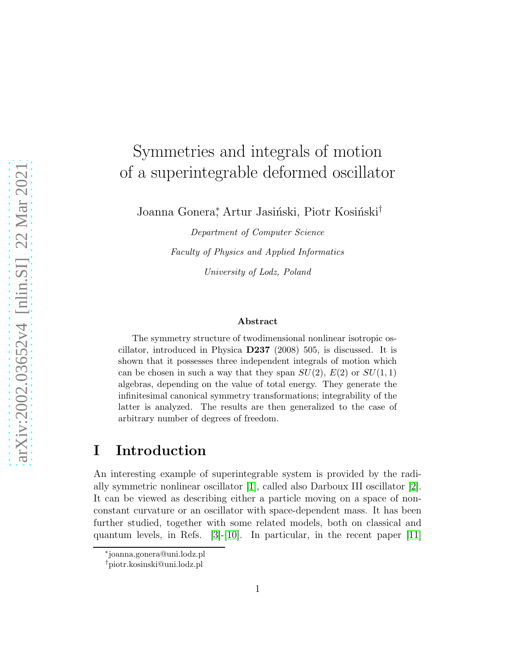# Symmetries and integrals of motion of a superintegrable deformed oscillator

Joanna Gonera<sup>\*</sup>, Artur Jasiński, Piotr Kosiński<sup>†</sup>

Department of Computer Science Faculty of Physics and Applied Informatics University of Lodz, Poland

#### Abstract

The symmetry structure of twodimensional nonlinear isotropic oscillator, introduced in Physica D237 (2008) 505, is discussed. It is shown that it possesses three independent integrals of motion which can be chosen in such a way that they span  $SU(2)$ ,  $E(2)$  or  $SU(1, 1)$ algebras, depending on the value of total energy. They generate the infinitesimal canonical symmetry transformations; integrability of the latter is analyzed. The results are then generalized to the case of arbitrary number of degrees of freedom.

#### I Introduction

An interesting example of superintegrable system is provided by the radially symmetric nonlinear oscillator [\[1\]](#page-18-0), called also Darboux III oscillator [\[2\]](#page-18-1). It can be viewed as describing either a particle moving on a space of nonconstant curvature or an oscillator with space-dependent mass. It has been further studied, together with some related models, both on classical and quantum levels, in Refs. [\[3\]](#page-18-2)-[\[10\]](#page-18-3). In particular, in the recent paper [\[11\]](#page-19-0)

<sup>∗</sup> joanna.gonera@uni.lodz.pl

<sup>†</sup>piotr.kosinski@uni.lodz.pl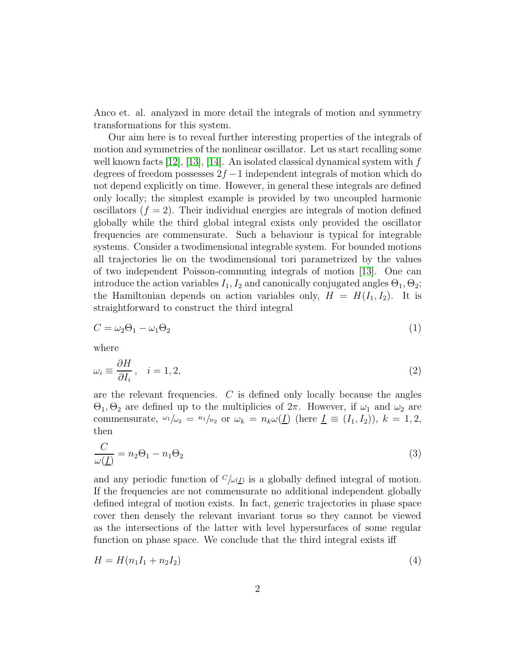Anco et. al. analyzed in more detail the integrals of motion and symmetry transformations for this system.

Our aim here is to reveal further interesting properties of the integrals of motion and symmetries of the nonlinear oscillator. Let us start recalling some well known facts [\[12\]](#page-19-1), [\[13\]](#page-19-2), [\[14\]](#page-19-3). An isolated classical dynamical system with  $f$ degrees of freedom possesses  $2f - 1$  independent integrals of motion which do not depend explicitly on time. However, in general these integrals are defined only locally; the simplest example is provided by two uncoupled harmonic oscillators  $(f = 2)$ . Their individual energies are integrals of motion defined globally while the third global integral exists only provided the oscillator frequencies are commensurate. Such a behaviour is typical for integrable systems. Consider a twodimensional integrable system. For bounded motions all trajectories lie on the twodimensional tori parametrized by the values of two independent Poisson-commuting integrals of motion [\[13\]](#page-19-2). One can introduce the action variables  $I_1, I_2$  and canonically conjugated angles  $\Theta_1, \Theta_2$ ; the Hamiltonian depends on action variables only,  $H = H(I_1, I_2)$ . It is straightforward to construct the third integral

<span id="page-1-0"></span>
$$
C = \omega_2 \Theta_1 - \omega_1 \Theta_2 \tag{1}
$$

<span id="page-1-1"></span>where

$$
\omega_i \equiv \frac{\partial H}{\partial I_i}, \quad i = 1, 2,\tag{2}
$$

are the relevant frequencies. C is defined only locally because the angles  $\Theta_1, \Theta_2$  are defined up to the multiplicies of  $2\pi$ . However, if  $\omega_1$  and  $\omega_2$  are commensurate,  $\omega_1/\omega_2 = n_1/n_2$  or  $\omega_k = n_k \omega(\underline{I})$  (here  $\underline{I} \equiv (I_1, I_2)$ ),  $k = 1, 2,$ then

$$
\frac{C}{\omega(\underline{I})} = n_2 \Theta_1 - n_1 \Theta_2 \tag{3}
$$

and any periodic function of  $C/\omega(\underline{I})$  is a globally defined integral of motion. If the frequencies are not commensurate no additional independent globally defined integral of motion exists. In fact, generic trajectories in phase space cover then densely the relevant invariant torus so they cannot be viewed as the intersections of the latter with level hypersurfaces of some regular function on phase space. We conclude that the third integral exists iff

<span id="page-1-2"></span>
$$
H = H(n_1I_1 + n_2I_2)
$$
\n(4)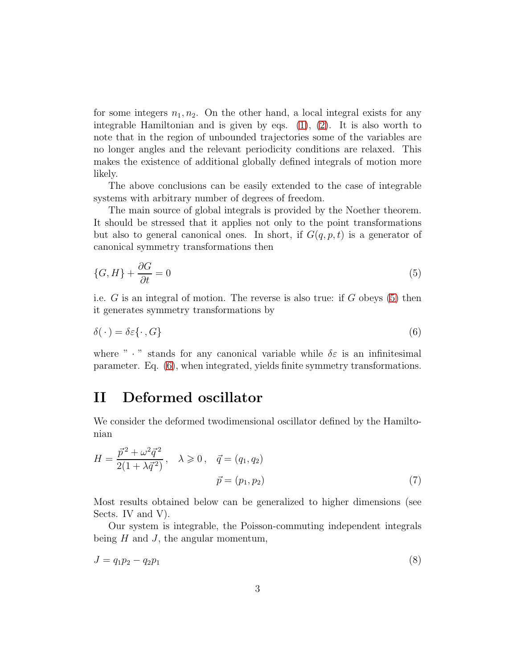for some integers  $n_1, n_2$ . On the other hand, a local integral exists for any integrable Hamiltonian and is given by eqs.  $(1)$ ,  $(2)$ . It is also worth to note that in the region of unbounded trajectories some of the variables are no longer angles and the relevant periodicity conditions are relaxed. This makes the existence of additional globally defined integrals of motion more likely.

The above conclusions can be easily extended to the case of integrable systems with arbitrary number of degrees of freedom.

The main source of global integrals is provided by the Noether theorem. It should be stressed that it applies not only to the point transformations but also to general canonical ones. In short, if  $G(q, p, t)$  is a generator of canonical symmetry transformations then

<span id="page-2-0"></span>
$$
\{G, H\} + \frac{\partial G}{\partial t} = 0\tag{5}
$$

i.e. G is an integral of motion. The reverse is also true: if G obeys [\(5\)](#page-2-0) then it generates symmetry transformations by

<span id="page-2-1"></span>
$$
\delta(\cdot) = \delta \varepsilon \{\cdot, G\} \tag{6}
$$

where " $\cdot$ " stands for any canonical variable while  $\delta \varepsilon$  is an infinitesimal parameter. Eq. [\(6\)](#page-2-1), when integrated, yields finite symmetry transformations.

### II Deformed oscillator

We consider the deformed twodimensional oscillator defined by the Hamiltonian

<span id="page-2-3"></span>
$$
H = \frac{\vec{p}^2 + \omega^2 \vec{q}^2}{2(1 + \lambda \vec{q}^2)}, \quad \lambda \ge 0, \quad \vec{q} = (q_1, q_2)
$$

$$
\vec{p} = (p_1, p_2)
$$
(7)

Most results obtained below can be generalized to higher dimensions (see Sects. IV and V.

Our system is integrable, the Poisson-commuting independent integrals being  $H$  and  $J$ , the angular momentum,

<span id="page-2-2"></span>
$$
J = q_1 p_2 - q_2 p_1 \tag{8}
$$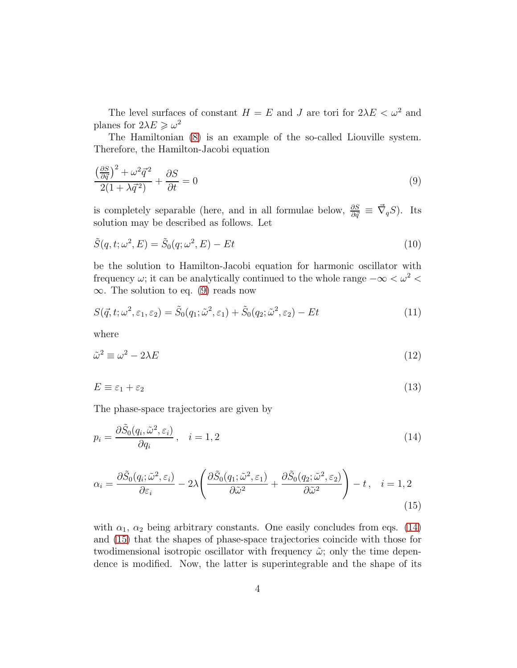The level surfaces of constant  $H = E$  and J are tori for  $2\lambda E < \omega^2$  and planes for  $2\lambda E \geqslant \omega^2$ 

The Hamiltonian [\(8\)](#page-2-2) is an example of the so-called Liouville system. Therefore, the Hamilton-Jacobi equation

<span id="page-3-0"></span>
$$
\frac{\left(\frac{\partial S}{\partial \vec{q}}\right)^2 + \omega^2 \vec{q}^2}{2(1 + \lambda \vec{q}^2)} + \frac{\partial S}{\partial t} = 0
$$
\n(9)

is completely separable (here, and in all formulae below,  $\frac{\partial S}{\partial \vec{q}} \equiv \vec{\nabla}_q S$ ). Its solution may be described as follows. Let

$$
\tilde{S}(q, t; \omega^2, E) = \tilde{S}_0(q; \omega^2, E) - Et \tag{10}
$$

be the solution to Hamilton-Jacobi equation for harmonic oscillator with frequency  $\omega$ ; it can be analytically continued to the whole range  $-\infty < \omega^2 <$  $\infty$ . The solution to eq. [\(9\)](#page-3-0) reads now

$$
S(\vec{q}, t; \omega^2, \varepsilon_1, \varepsilon_2) = \tilde{S}_0(q_1; \tilde{\omega}^2, \varepsilon_1) + \tilde{S}_0(q_2; \tilde{\omega}^2, \varepsilon_2) - Et
$$
\n(11)

where

<span id="page-3-3"></span>
$$
\tilde{\omega}^2 \equiv \omega^2 - 2\lambda E \tag{12}
$$

$$
E \equiv \varepsilon_1 + \varepsilon_2 \tag{13}
$$

The phase-space trajectories are given by

<span id="page-3-1"></span>
$$
p_i = \frac{\partial \tilde{S}_0(q_i, \tilde{\omega}^2, \varepsilon_i)}{\partial q_i}, \quad i = 1, 2
$$
\n(14)

$$
\alpha_i = \frac{\partial \tilde{S}_0(q_i; \tilde{\omega}^2, \varepsilon_i)}{\partial \varepsilon_i} - 2\lambda \left( \frac{\partial \tilde{S}_0(q_1; \tilde{\omega}^2, \varepsilon_1)}{\partial \tilde{\omega}^2} + \frac{\partial \tilde{S}_0(q_2; \tilde{\omega}^2, \varepsilon_2)}{\partial \tilde{\omega}^2} \right) - t, \quad i = 1, 2
$$
\n(15)

<span id="page-3-2"></span>with  $\alpha_1$ ,  $\alpha_2$  being arbitrary constants. One easily concludes from eqs. [\(14\)](#page-3-1) and [\(15\)](#page-3-2) that the shapes of phase-space trajectories coincide with those for twodimensional isotropic oscillator with frequency  $\tilde{\omega}$ ; only the time dependence is modified. Now, the latter is superintegrable and the shape of its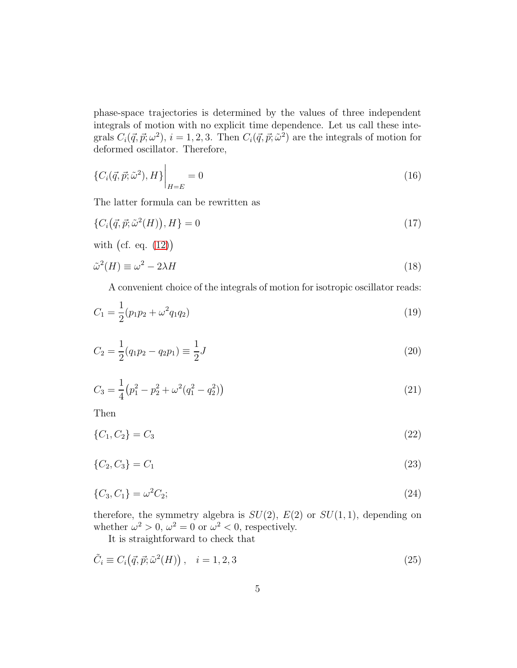phase-space trajectories is determined by the values of three independent integrals of motion with no explicit time dependence. Let us call these integrals  $C_i(\vec{q}, \vec{p}; \omega^2), i = 1, 2, 3$ . Then  $C_i(\vec{q}, \vec{p}; \tilde{\omega}^2)$  are the integrals of motion for deformed oscillator. Therefore,

$$
\{C_i(\vec{q}, \vec{p}; \tilde{\omega}^2), H\}\bigg|_{H=E} = 0
$$
\n(16)

The latter formula can be rewritten as

 $\overline{1}$ 

$$
\{C_i(\vec{q}, \vec{p}; \tilde{\omega}^2(H)), H\} = 0
$$
\n<sup>(17)</sup>

with (cf. eq. (12))  
\n
$$
\tilde{\omega}^2(H) \equiv \omega^2 - 2\lambda H
$$
\n(18)

A convenient choice of the integrals of motion for isotropic oscillator reads:

$$
C_1 = \frac{1}{2}(p_1p_2 + \omega^2q_1q_2)
$$
\n(19)

$$
C_2 = \frac{1}{2}(q_1 p_2 - q_2 p_1) \equiv \frac{1}{2}J\tag{20}
$$

$$
C_3 = \frac{1}{4} (p_1^2 - p_2^2 + \omega^2 (q_1^2 - q_2^2))
$$
\n(21)

Then

$$
\{C_1, C_2\} = C_3 \tag{22}
$$

$$
\{C_2, C_3\} = C_1 \tag{23}
$$

$$
\{C_3, C_1\} = \omega^2 C_2; \tag{24}
$$

therefore, the symmetry algebra is  $SU(2)$ ,  $E(2)$  or  $SU(1, 1)$ , depending on whether  $\omega^2 > 0$ ,  $\omega^2 = 0$  or  $\omega^2 < 0$ , respectively.

<span id="page-4-0"></span>It is straightforward to check that

$$
\tilde{C}_i \equiv C_i(\vec{q}, \vec{p}; \tilde{\omega}^2(H)), \quad i = 1, 2, 3
$$
\n
$$
(25)
$$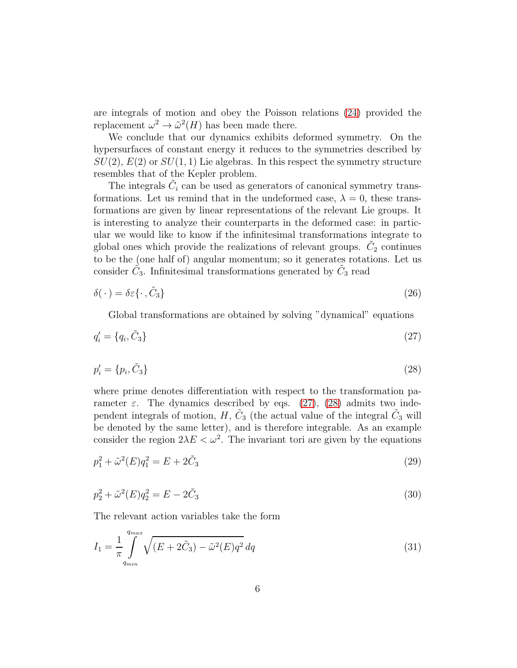are integrals of motion and obey the Poisson relations [\(24\)](#page-4-0) provided the replacement  $\omega^2 \to \tilde{\omega}^2(H)$  has been made there.

We conclude that our dynamics exhibits deformed symmetry. On the hypersurfaces of constant energy it reduces to the symmetries described by  $SU(2), E(2)$  or  $SU(1, 1)$  Lie algebras. In this respect the symmetry structure resembles that of the Kepler problem.

The integrals  $\tilde{C}_i$  can be used as generators of canonical symmetry transformations. Let us remind that in the undeformed case,  $\lambda = 0$ , these transformations are given by linear representations of the relevant Lie groups. It is interesting to analyze their counterparts in the deformed case: in particular we would like to know if the infinitesimal transformations integrate to global ones which provide the realizations of relevant groups.  $\tilde{C}_2$  continues to be the (one half of) angular momentum; so it generates rotations. Let us consider  $\tilde{C}_3$ . Infinitesimal transformations generated by  $\tilde{C}_3$  read

$$
\delta(\cdot) = \delta \varepsilon \{\cdot, \tilde{C}_3\} \tag{26}
$$

<span id="page-5-1"></span><span id="page-5-0"></span>Global transformations are obtained by solving "dynamical" equations

$$
q_i' = \{q_i, \tilde{C}_3\} \tag{27}
$$

$$
p_i' = \{p_i, \tilde{C}_3\} \tag{28}
$$

where prime denotes differentiation with respect to the transformation parameter  $\varepsilon$ . The dynamics described by eqs. [\(27\)](#page-5-0), [\(28\)](#page-5-1) admits two independent integrals of motion,  $H$ ,  $\tilde{C}_3$  (the actual value of the integral  $\tilde{C}_3$  will be denoted by the same letter), and is therefore integrable. As an example consider the region  $2\lambda E < \omega^2$ . The invariant tori are given by the equations

$$
p_1^2 + \tilde{\omega}^2(E)q_1^2 = E + 2\tilde{C}_3
$$
\n(29)

$$
p_2^2 + \tilde{\omega}^2(E)q_2^2 = E - 2\tilde{C}_3\tag{30}
$$

The relevant action variables take the form

$$
I_1 = \frac{1}{\pi} \int_{q_{min}}^{q_{max}} \sqrt{(E + 2\tilde{C}_3) - \tilde{\omega}^2(E)q^2} \, dq \tag{31}
$$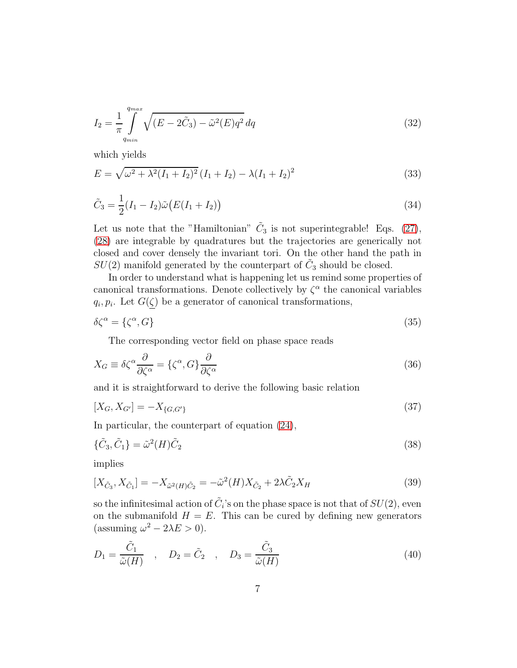$$
I_2 = \frac{1}{\pi} \int_{q_{min}}^{q_{max}} \sqrt{(E - 2\tilde{C}_3) - \tilde{\omega}^2(E)q^2} \, dq \tag{32}
$$

which yields

$$
E = \sqrt{\omega^2 + \lambda^2 (I_1 + I_2)^2} (I_1 + I_2) - \lambda (I_1 + I_2)^2
$$
\n(33)

<span id="page-6-0"></span>
$$
\tilde{C}_3 = \frac{1}{2}(I_1 - I_2)\tilde{\omega}\big(E(I_1 + I_2)\big) \tag{34}
$$

Let us note that the "Hamiltonian"  $\tilde{C}_3$  is not superintegrable! Eqs. [\(27\)](#page-5-0), [\(28\)](#page-5-1) are integrable by quadratures but the trajectories are generically not closed and cover densely the invariant tori. On the other hand the path in  $SU(2)$  manifold generated by the counterpart of  $\tilde{C}_3$  should be closed.

In order to understand what is happening let us remind some properties of canonical transformations. Denote collectively by  $\zeta^{\alpha}$  the canonical variables  $q_i, p_i$ . Let  $G(\zeta)$  be a generator of canonical transformations,

$$
\delta\zeta^{\alpha} = \{\zeta^{\alpha}, G\} \tag{35}
$$

The corresponding vector field on phase space reads

$$
X_G \equiv \delta \zeta^{\alpha} \frac{\partial}{\partial \zeta^{\alpha}} = {\zeta^{\alpha}, G} \frac{\partial}{\partial \zeta^{\alpha}}
$$
\n(36)

and it is straightforward to derive the following basic relation

$$
[X_G, X_{G'}] = -X_{\{G, G'\}}\tag{37}
$$

In particular, the counterpart of equation [\(24\)](#page-4-0),

$$
\{\tilde{C}_3, \tilde{C}_1\} = \tilde{\omega}^2(H)\tilde{C}_2
$$
\n(38)

implies

$$
[X_{\tilde{C}_3}, X_{\tilde{C}_1}] = -X_{\tilde{\omega}^2(H)\tilde{C}_2} = -\tilde{\omega}^2(H)X_{\tilde{C}_2} + 2\lambda \tilde{C}_2 X_H
$$
\n(39)

so the infinitesimal action of  $\tilde{C}_i$ 's on the phase space is not that of  $SU(2)$ , even on the submanifold  $H = E$ . This can be cured by defining new generators (assuming  $\omega^2 - 2\lambda E > 0$ ).

$$
D_1 = \frac{\tilde{C}_1}{\tilde{\omega}(H)} \quad , \quad D_2 = \tilde{C}_2 \quad , \quad D_3 = \frac{\tilde{C}_3}{\tilde{\omega}(H)} \tag{40}
$$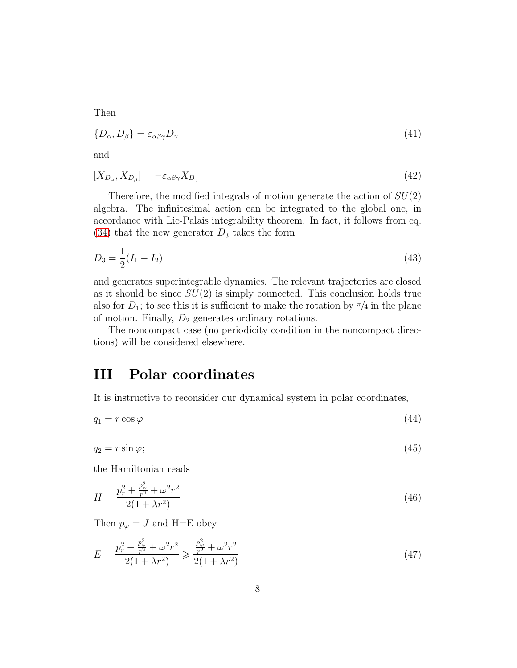Then

$$
\{D_{\alpha}, D_{\beta}\} = \varepsilon_{\alpha\beta\gamma} D_{\gamma} \tag{41}
$$

and

$$
[X_{D_{\alpha}}, X_{D_{\beta}}] = -\varepsilon_{\alpha\beta\gamma} X_{D_{\gamma}}
$$
\n(42)

Therefore, the modified integrals of motion generate the action of  $SU(2)$ algebra. The infinitesimal action can be integrated to the global one, in accordance with Lie-Palais integrability theorem. In fact, it follows from eq.  $(34)$  that the new generator  $D_3$  takes the form

$$
D_3 = \frac{1}{2}(I_1 - I_2) \tag{43}
$$

and generates superintegrable dynamics. The relevant trajectories are closed as it should be since  $SU(2)$  is simply connected. This conclusion holds true also for  $D_1$ ; to see this it is sufficient to make the rotation by  $\pi/4$  in the plane of motion. Finally,  $D_2$  generates ordinary rotations.

The noncompact case (no periodicity condition in the noncompact directions) will be considered elsewhere.

#### III Polar coordinates

It is instructive to reconsider our dynamical system in polar coordinates,

 $q_1 = r \cos \varphi$  (44)

 $q_2 = r \sin \varphi;$  (45)

the Hamiltonian reads

$$
H = \frac{p_r^2 + \frac{p_\varphi^2}{r^2} + \omega^2 r^2}{2(1 + \lambda r^2)}
$$
(46)

Then  $p_{\varphi} = J$  and H=E obey

<span id="page-7-0"></span>
$$
E = \frac{p_r^2 + \frac{p_\varphi^2}{r^2} + \omega^2 r^2}{2(1 + \lambda r^2)} \ge \frac{\frac{p_\varphi^2}{r^2} + \omega^2 r^2}{2(1 + \lambda r^2)}
$$
(47)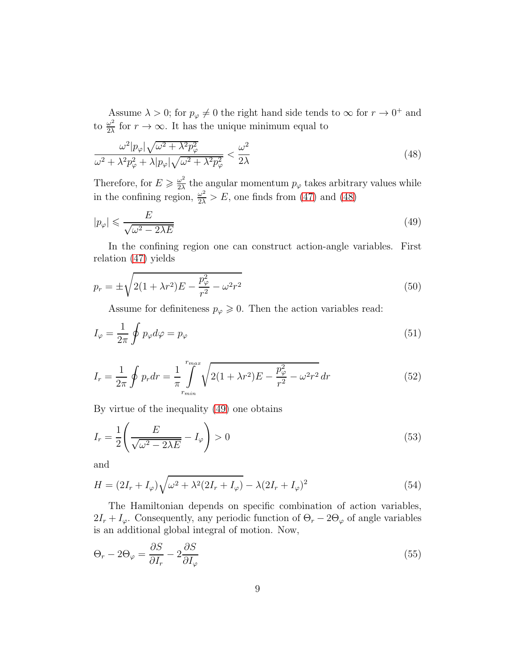Assume  $\lambda > 0$ ; for  $p_{\varphi} \neq 0$  the right hand side tends to  $\infty$  for  $r \to 0^+$  and to  $\frac{\omega^2}{2\lambda}$  $\frac{\omega^2}{2\lambda}$  for  $r \to \infty$ . It has the unique minimum equal to

<span id="page-8-0"></span>
$$
\frac{\omega^2 |p_{\varphi}|\sqrt{\omega^2 + \lambda^2 p_{\varphi}^2}}{\omega^2 + \lambda^2 p_{\varphi}^2 + \lambda |p_{\varphi}|\sqrt{\omega^2 + \lambda^2 p_{\varphi}^2}} < \frac{\omega^2}{2\lambda}
$$
\n(48)

Therefore, for  $E \geqslant \frac{\omega^2}{2\lambda}$  $\frac{\omega^2}{2\lambda}$  the angular momentum  $p_{\varphi}$  takes arbitrary values while in the confining region,  $\frac{\omega^2}{2\lambda} > E$ , one finds from [\(47\)](#page-7-0) and [\(48\)](#page-8-0)

<span id="page-8-1"></span>
$$
|p_{\varphi}| \leqslant \frac{E}{\sqrt{\omega^2 - 2\lambda E}}\tag{49}
$$

In the confining region one can construct action-angle variables. First relation [\(47\)](#page-7-0) yields

$$
p_r = \pm \sqrt{2(1 + \lambda r^2)E - \frac{p_\varphi^2}{r^2} - \omega^2 r^2}
$$
\n(50)

Assume for definiteness  $p_{\varphi} \geqslant 0$ . Then the action variables read:

$$
I_{\varphi} = \frac{1}{2\pi} \oint p_{\varphi} d\varphi = p_{\varphi} \tag{51}
$$

$$
I_r = \frac{1}{2\pi} \oint p_r dr = \frac{1}{\pi} \int_{r_{min}}^{r_{max}} \sqrt{2(1 + \lambda r^2)E - \frac{p_\varphi^2}{r^2} - \omega^2 r^2} dr
$$
(52)

By virtue of the inequality [\(49\)](#page-8-1) one obtains

$$
I_r = \frac{1}{2} \left( \frac{E}{\sqrt{\omega^2 - 2\lambda E}} - I_\varphi \right) > 0 \tag{53}
$$

and

$$
H = (2I_r + I_\varphi)\sqrt{\omega^2 + \lambda^2(2I_r + I_\varphi)} - \lambda(2I_r + I_\varphi)^2
$$
\n(54)

The Hamiltonian depends on specific combination of action variables,  $2I_r + I_\varphi$ . Consequently, any periodic function of  $\Theta_r - 2\Theta_\varphi$  of angle variables is an additional global integral of motion. Now,

$$
\Theta_r - 2\Theta_\varphi = \frac{\partial S}{\partial I_r} - 2\frac{\partial S}{\partial I_\varphi} \tag{55}
$$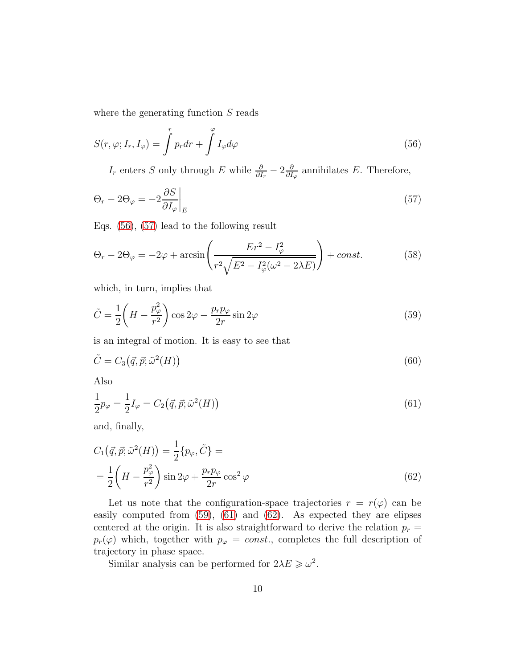where the generating function S reads

$$
S(r, \varphi; I_r, I_{\varphi}) = \int^r p_r dr + \int^{\varphi} I_{\varphi} d\varphi \tag{56}
$$

<span id="page-9-1"></span><span id="page-9-0"></span> $I_r$  enters S only through E while  $\frac{\partial}{\partial I_r} - 2\frac{\partial}{\partial I_r}$  $\frac{\partial}{\partial I_{\varphi}}$  annihilates E. Therefore,

$$
\Theta_r - 2\Theta_\varphi = -2\frac{\partial S}{\partial I_\varphi}\bigg|_E\tag{57}
$$

Eqs. [\(56\)](#page-9-0), [\(57\)](#page-9-1) lead to the following result

$$
\Theta_r - 2\Theta_\varphi = -2\varphi + \arcsin\left(\frac{Er^2 - I_\varphi^2}{r^2 \sqrt{E^2 - I_\varphi^2(\omega^2 - 2\lambda E)}}\right) + const.
$$
 (58)

which, in turn, implies that

<span id="page-9-2"></span>
$$
\tilde{C} = \frac{1}{2} \left( H - \frac{p_{\varphi}^2}{r^2} \right) \cos 2\varphi - \frac{p_r p_{\varphi}}{2r} \sin 2\varphi \tag{59}
$$

is an integral of motion. It is easy to see that

$$
\tilde{C} = C_3(\vec{q}, \vec{p}; \tilde{\omega}^2(H))
$$
\n(60)

Also

<span id="page-9-3"></span>
$$
\frac{1}{2}p_{\varphi} = \frac{1}{2}I_{\varphi} = C_2(\vec{q}, \vec{p}; \tilde{\omega}^2(H))
$$
\n(61)

and, finally,

$$
C_1(\vec{q}, \vec{p}; \tilde{\omega}^2(H)) = \frac{1}{2} \{p_{\varphi}, \tilde{C}\} =
$$
  
= 
$$
\frac{1}{2} \left(H - \frac{p_{\varphi}^2}{r^2}\right) \sin 2\varphi + \frac{p_r p_{\varphi}}{2r} \cos^2 \varphi
$$
 (62)

Let us note that the configuration-space trajectories  $r = r(\varphi)$  can be easily computed from [\(59\)](#page-9-2), [\(61\)](#page-9-3) and [\(62\)](#page-9-4). As expected they are elipses centered at the origin. It is also straightforward to derive the relation  $p_r =$  $p_r(\varphi)$  which, together with  $p_{\varphi} = const.$ , completes the full description of trajectory in phase space.

<span id="page-9-4"></span>Similar analysis can be performed for  $2\lambda E \geq \omega^2$ .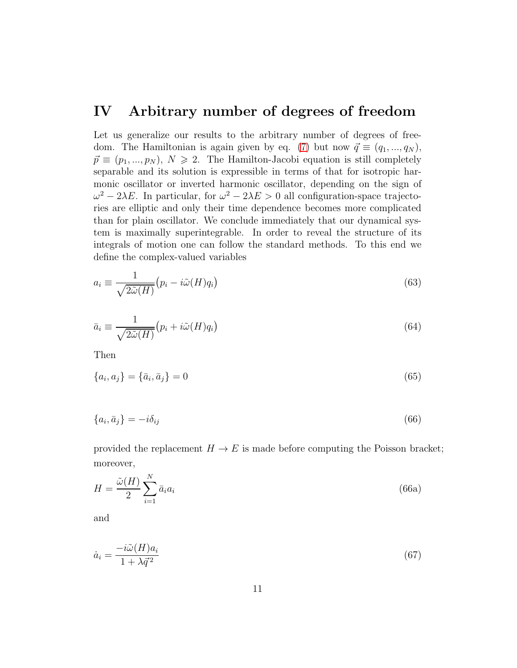#### IV Arbitrary number of degrees of freedom

Let us generalize our results to the arbitrary number of degrees of free-dom. The Hamiltonian is again given by eq. [\(7\)](#page-2-3) but now  $\vec{q} \equiv (q_1, ..., q_N)$ ,  $\vec{p} \equiv (p_1, ..., p_N), N \geq 2$ . The Hamilton-Jacobi equation is still completely separable and its solution is expressible in terms of that for isotropic harmonic oscillator or inverted harmonic oscillator, depending on the sign of  $ω^2 - 2λE$ . In particular, for  $ω^2 - 2λE > 0$  all configuration-space trajectories are elliptic and only their time dependence becomes more complicated than for plain oscillator. We conclude immediately that our dynamical system is maximally superintegrable. In order to reveal the structure of its integrals of motion one can follow the standard methods. To this end we define the complex-valued variables

<span id="page-10-1"></span>
$$
a_i \equiv \frac{1}{\sqrt{2\tilde{\omega}(H)}} \big(p_i - i\tilde{\omega}(H)q_i\big) \tag{63}
$$

<span id="page-10-2"></span>
$$
\bar{a}_i \equiv \frac{1}{\sqrt{2\tilde{\omega}(H)}} \big(p_i + i\tilde{\omega}(H)q_i\big) \tag{64}
$$

Then

$$
\{a_i, a_j\} = \{\bar{a}_i, \bar{a}_j\} = 0
$$
\n(65)

$$
\{a_i, \bar{a}_j\} = -i\delta_{ij} \tag{66}
$$

provided the replacement  $H \to E$  is made before computing the Poisson bracket; moreover,

$$
H = \frac{\tilde{\omega}(H)}{2} \sum_{i=1}^{N} \bar{a}_i a_i \tag{66a}
$$

and

<span id="page-10-0"></span>
$$
\dot{a}_i = \frac{-i\tilde{\omega}(H)a_i}{1 + \lambda \vec{q}^2} \tag{67}
$$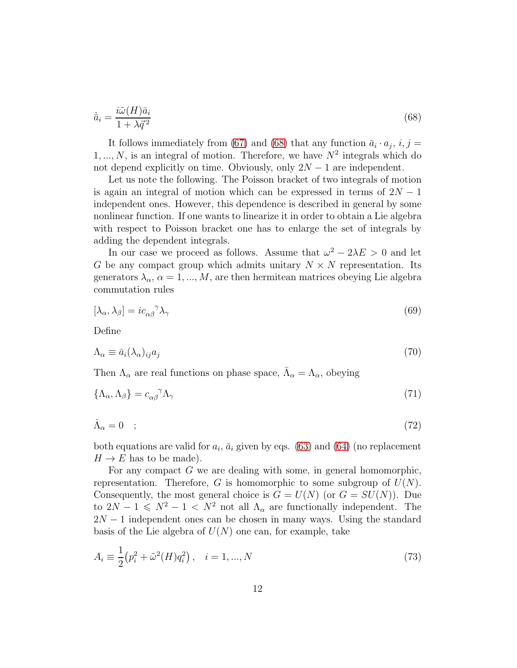<span id="page-11-0"></span>
$$
\dot{\bar{a}}_i = \frac{i\tilde{\omega}(H)\bar{a}_i}{1 + \lambda \bar{q}^2} \tag{68}
$$

It follows immediately from [\(67\)](#page-10-0) and [\(68\)](#page-11-0) that any function  $\bar{a}_i \cdot a_j$ ,  $i, j =$  $1, \ldots, N$ , is an integral of motion. Therefore, we have  $N^2$  integrals which do not depend explicitly on time. Obviously, only  $2N - 1$  are independent.

Let us note the following. The Poisson bracket of two integrals of motion is again an integral of motion which can be expressed in terms of  $2N - 1$ independent ones. However, this dependence is described in general by some nonlinear function. If one wants to linearize it in order to obtain a Lie algebra with respect to Poisson bracket one has to enlarge the set of integrals by adding the dependent integrals.

In our case we proceed as follows. Assume that  $\omega^2 - 2\lambda E > 0$  and let G be any compact group which admits unitary  $N \times N$  representation. Its generators  $\lambda_{\alpha}$ ,  $\alpha = 1, ..., M$ , are then hermitean matrices obeying Lie algebra commutation rules

$$
[\lambda_{\alpha}, \lambda_{\beta}] = i c_{\alpha\beta}^{\ \gamma} \lambda_{\gamma} \tag{69}
$$

Define

$$
\Lambda_{\alpha} \equiv \bar{a}_i (\lambda_{\alpha})_{ij} a_j \tag{70}
$$

Then  $\Lambda_{\alpha}$  are real functions on phase space,  $\bar{\Lambda}_{\alpha} = \Lambda_{\alpha}$ , obeying

$$
\{\Lambda_{\alpha},\Lambda_{\beta}\}=c_{\alpha\beta}^{\quad \gamma}\Lambda_{\gamma} \tag{71}
$$

$$
\dot{\Lambda}_{\alpha} = 0 \quad ; \tag{72}
$$

both equations are valid for  $a_i$ ,  $\bar{a}_i$  given by eqs. [\(63\)](#page-10-1) and [\(64\)](#page-10-2) (no replacement  $H \to E$  has to be made).

For any compact G we are dealing with some, in general homomorphic, representation. Therefore, G is homomorphic to some subgroup of  $U(N)$ . Consequently, the most general choice is  $G = U(N)$  (or  $G = SU(N)$ ). Due to  $2N - 1 \leq N^2 - 1 < N^2$  not all  $\Lambda_{\alpha}$  are functionally independent. The  $2N-1$  independent ones can be chosen in many ways. Using the standard basis of the Lie algebra of  $U(N)$  one can, for example, take

$$
A_i \equiv \frac{1}{2} (p_i^2 + \tilde{\omega}^2(H) q_i^2), \quad i = 1, ..., N
$$
\n(73)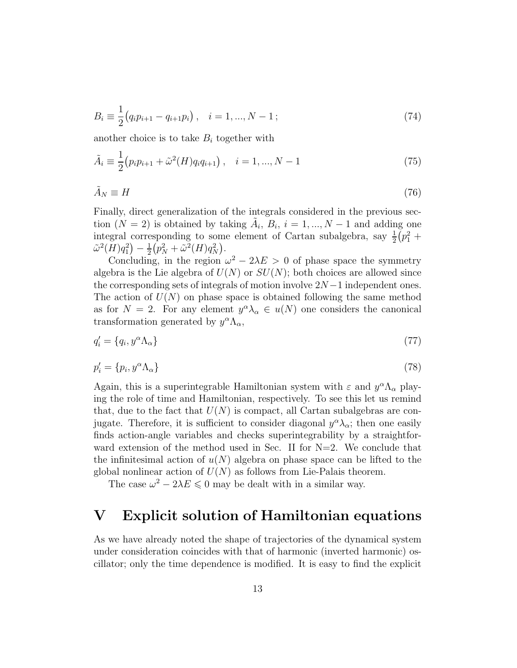$$
B_i \equiv \frac{1}{2} (q_i p_{i+1} - q_{i+1} p_i), \quad i = 1, ..., N - 1;
$$
\n(74)

another choice is to take  $B_i$  together with

$$
\tilde{A}_i \equiv \frac{1}{2} (p_i p_{i+1} + \tilde{\omega}^2(H) q_i q_{i+1}), \quad i = 1, ..., N-1
$$
\n(75)

$$
\tilde{A}_N \equiv H \tag{76}
$$

Finally, direct generalization of the integrals considered in the previous section  $(N = 2)$  is obtained by taking  $\tilde{A}_i$ ,  $B_i$ ,  $i = 1, ..., N - 1$  and adding one integral corresponding to some element of Cartan subalgebra, say  $\frac{1}{2}$  $\frac{1}{2}(p_1^2 +$  $\tilde{\omega}^2(H)q_1^2 - \frac{1}{2}$  $\frac{1}{2}(p_N^2+\tilde{\omega}^2(H)q_N^2).$ 

Concluding, in the region  $\omega^2 - 2\lambda E > 0$  of phase space the symmetry algebra is the Lie algebra of  $U(N)$  or  $SU(N)$ ; both choices are allowed since the corresponding sets of integrals of motion involve  $2N-1$  independent ones. The action of  $U(N)$  on phase space is obtained following the same method as for  $N = 2$ . For any element  $y^{\alpha} \lambda_{\alpha} \in u(N)$  one considers the canonical transformation generated by  $y^{\alpha} \Lambda_{\alpha}$ ,

$$
q_i' = \{q_i, y^{\alpha} \Lambda_{\alpha}\}\tag{77}
$$

$$
p_i' = \{p_i, y^{\alpha} \Lambda_{\alpha}\}\tag{78}
$$

Again, this is a superintegrable Hamiltonian system with  $\varepsilon$  and  $y^{\alpha} \Lambda_{\alpha}$  playing the role of time and Hamiltonian, respectively. To see this let us remind that, due to the fact that  $U(N)$  is compact, all Cartan subalgebras are conjugate. Therefore, it is sufficient to consider diagonal  $y^{\alpha}\lambda_{\alpha}$ ; then one easily finds action-angle variables and checks superintegrability by a straightforward extension of the method used in Sec. II for  $N=2$ . We conclude that the infinitesimal action of  $u(N)$  algebra on phase space can be lifted to the global nonlinear action of  $U(N)$  as follows from Lie-Palais theorem.

The case  $\omega^2 - 2\lambda E \leq 0$  may be dealt with in a similar way.

#### V Explicit solution of Hamiltonian equations

As we have already noted the shape of trajectories of the dynamical system under consideration coincides with that of harmonic (inverted harmonic) oscillator; only the time dependence is modified. It is easy to find the explicit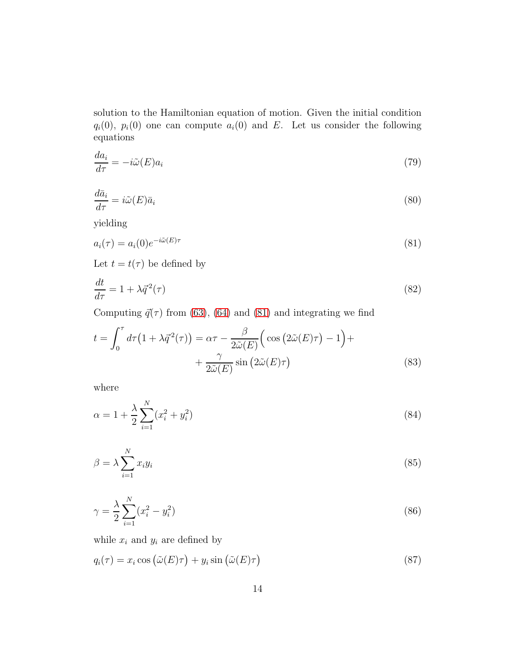solution to the Hamiltonian equation of motion. Given the initial condition  $q_i(0)$ ,  $p_i(0)$  one can compute  $a_i(0)$  and E. Let us consider the following equations

$$
\frac{da_i}{d\tau} = -i\tilde{\omega}(E)a_i\tag{79}
$$

$$
\frac{d\bar{a}_i}{d\tau} = i\tilde{\omega}(E)\bar{a}_i\tag{80}
$$

yielding

<span id="page-13-0"></span>
$$
a_i(\tau) = a_i(0)e^{-i\tilde{\omega}(E)\tau} \tag{81}
$$

Let  $t = t(\tau)$  be defined by

$$
\frac{dt}{d\tau} = 1 + \lambda \vec{q}^2(\tau) \tag{82}
$$

Computing  $\vec{q}(\tau)$  from [\(63\)](#page-10-1), [\(64\)](#page-10-2) and [\(81\)](#page-13-0) and integrating we find

<span id="page-13-1"></span>
$$
t = \int_0^{\tau} d\tau (1 + \lambda \vec{q}^2(\tau)) = \alpha \tau - \frac{\beta}{2\tilde{\omega}(E)} \Big( \cos (2\tilde{\omega}(E)\tau) - 1 \Big) +
$$
  
+ 
$$
\frac{\gamma}{2\tilde{\omega}(E)} \sin (2\tilde{\omega}(E)\tau) \tag{83}
$$

where

$$
\alpha = 1 + \frac{\lambda}{2} \sum_{i=1}^{N} (x_i^2 + y_i^2)
$$
\n(84)

$$
\beta = \lambda \sum_{i=1}^{N} x_i y_i \tag{85}
$$

$$
\gamma = \frac{\lambda}{2} \sum_{i=1}^{N} (x_i^2 - y_i^2)
$$
\n(86)

while  $x_i$  and  $y_i$  are defined by

$$
q_i(\tau) = x_i \cos \left(\tilde{\omega}(E)\tau\right) + y_i \sin \left(\tilde{\omega}(E)\tau\right) \tag{87}
$$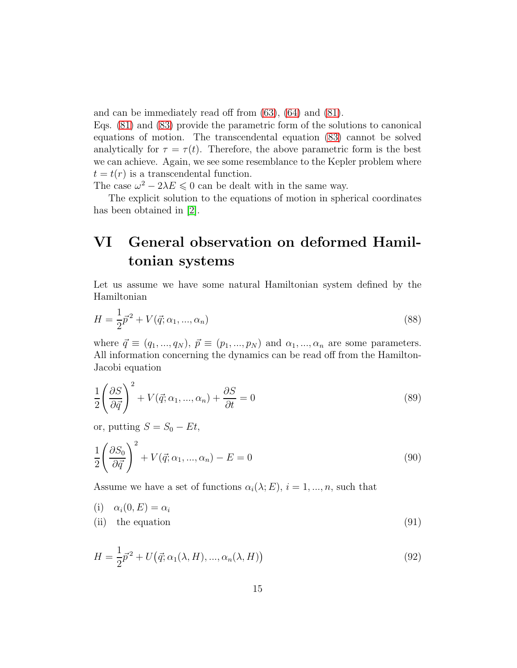and can be immediately read off from [\(63\)](#page-10-1), [\(64\)](#page-10-2) and [\(81\)](#page-13-0).

Eqs. [\(81\)](#page-13-0) and [\(83\)](#page-13-1) provide the parametric form of the solutions to canonical equations of motion. The transcendental equation [\(83\)](#page-13-1) cannot be solved analytically for  $\tau = \tau(t)$ . Therefore, the above parametric form is the best we can achieve. Again, we see some resemblance to the Kepler problem where  $t = t(r)$  is a transcendental function.

The case  $\omega^2 - 2\lambda E \leq 0$  can be dealt with in the same way.

The explicit solution to the equations of motion in spherical coordinates has been obtained in [\[2\]](#page-18-1).

## VI General observation on deformed Hamiltonian systems

Let us assume we have some natural Hamiltonian system defined by the Hamiltonian

<span id="page-14-0"></span>
$$
H = \frac{1}{2}\vec{p}^2 + V(\vec{q}; \alpha_1, ..., \alpha_n)
$$
\n(88)

where  $\vec{q} \equiv (q_1, ..., q_N), \vec{p} \equiv (p_1, ..., p_N)$  and  $\alpha_1, ..., \alpha_n$  are some parameters. All information concerning the dynamics can be read off from the Hamilton-Jacobi equation

$$
\frac{1}{2} \left( \frac{\partial S}{\partial \vec{q}} \right)^2 + V(\vec{q}; \alpha_1, ..., \alpha_n) + \frac{\partial S}{\partial t} = 0
$$
\n(89)

or, putting  $S = S_0 - Et$ ,

$$
\frac{1}{2} \left( \frac{\partial S_0}{\partial \vec{q}} \right)^2 + V(\vec{q}; \alpha_1, ..., \alpha_n) - E = 0 \tag{90}
$$

Assume we have a set of functions  $\alpha_i(\lambda; E)$ ,  $i = 1, ..., n$ , such that

$$
\begin{array}{ll}\n(i) & \alpha_i(0, E) = \alpha_i \\
(ii) & \text{the equation}\n\end{array}\n\tag{91}
$$

$$
H = \frac{1}{2}\vec{p}^2 + U(\vec{q}; \alpha_1(\lambda, H), ..., \alpha_n(\lambda, H))
$$
\n(92)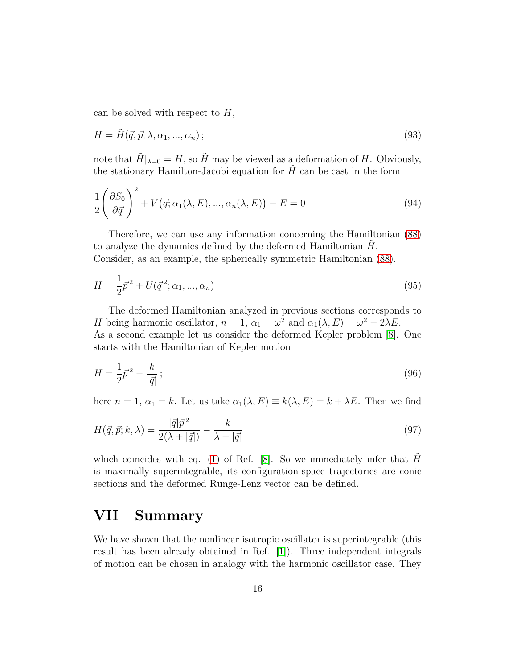can be solved with respect to  $H$ ,

$$
H = \tilde{H}(\vec{q}, \vec{p}; \lambda, \alpha_1, \dots, \alpha_n); \tag{93}
$$

note that  $\tilde{H}|_{\lambda=0} = H$ , so  $\tilde{H}$  may be viewed as a deformation of H. Obviously, the stationary Hamilton-Jacobi equation for  $H$  can be cast in the form

$$
\frac{1}{2} \left( \frac{\partial S_0}{\partial \vec{q}} \right)^2 + V(\vec{q}; \alpha_1(\lambda, E), ..., \alpha_n(\lambda, E)) - E = 0 \tag{94}
$$

Therefore, we can use any information concerning the Hamiltonian [\(88\)](#page-14-0) to analyze the dynamics defined by the deformed Hamiltonian  $H$ . Consider, as an example, the spherically symmetric Hamiltonian [\(88\)](#page-14-0).

$$
H = \frac{1}{2}\vec{p}^2 + U(\vec{q}^2; \alpha_1, ..., \alpha_n)
$$
\n(95)

The deformed Hamiltonian analyzed in previous sections corresponds to H being harmonic oscillator,  $n = 1$ ,  $\alpha_1 = \omega^2$  and  $\alpha_1(\lambda, E) = \omega^2 - 2\lambda E$ . As a second example let us consider the deformed Kepler problem [\[8\]](#page-18-4). One starts with the Hamiltonian of Kepler motion

$$
H = \frac{1}{2}\vec{p}^2 - \frac{k}{|\vec{q}|}\,,\tag{96}
$$

here  $n = 1$ ,  $\alpha_1 = k$ . Let us take  $\alpha_1(\lambda, E) \equiv k(\lambda, E) = k + \lambda E$ . Then we find

$$
\tilde{H}(\vec{q}, \vec{p}; k, \lambda) = \frac{|\vec{q}|\vec{p}^2}{2(\lambda + |\vec{q}|)} - \frac{k}{\lambda + |\vec{q}|}
$$
\n(97)

which coincides with eq. [\(1\)](#page-1-0) of Ref. [\[8\]](#page-18-4). So we immediately infer that  $H$ is maximally superintegrable, its configuration-space trajectories are conic sections and the deformed Runge-Lenz vector can be defined.

#### VII Summary

We have shown that the nonlinear isotropic oscillator is superintegrable (this result has been already obtained in Ref. [\[1\]](#page-18-0)). Three independent integrals of motion can be chosen in analogy with the harmonic oscillator case. They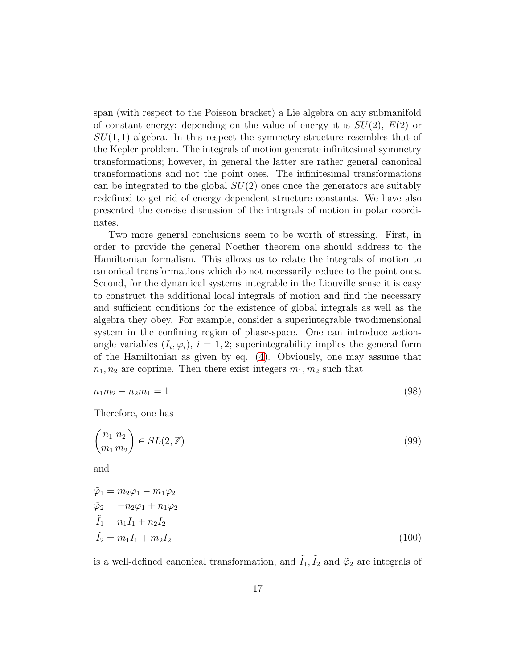span (with respect to the Poisson bracket) a Lie algebra on any submanifold of constant energy; depending on the value of energy it is  $SU(2)$ ,  $E(2)$  or  $SU(1, 1)$  algebra. In this respect the symmetry structure resembles that of the Kepler problem. The integrals of motion generate infinitesimal symmetry transformations; however, in general the latter are rather general canonical transformations and not the point ones. The infinitesimal transformations can be integrated to the global  $SU(2)$  ones once the generators are suitably redefined to get rid of energy dependent structure constants. We have also presented the concise discussion of the integrals of motion in polar coordinates.

Two more general conclusions seem to be worth of stressing. First, in order to provide the general Noether theorem one should address to the Hamiltonian formalism. This allows us to relate the integrals of motion to canonical transformations which do not necessarily reduce to the point ones. Second, for the dynamical systems integrable in the Liouville sense it is easy to construct the additional local integrals of motion and find the necessary and sufficient conditions for the existence of global integrals as well as the algebra they obey. For example, consider a superintegrable twodimensional system in the confining region of phase-space. One can introduce actionangle variables  $(I_i, \varphi_i), i = 1, 2$ ; superintegrability implies the general form of the Hamiltonian as given by eq. [\(4\)](#page-1-2). Obviously, one may assume that  $n_1, n_2$  are coprime. Then there exist integers  $m_1, m_2$  such that

$$
n_1 m_2 - n_2 m_1 = 1 \tag{98}
$$

Therefore, one has

$$
\begin{pmatrix} n_1 & n_2 \\ m_1 & m_2 \end{pmatrix} \in SL(2, \mathbb{Z}) \tag{99}
$$

and

$$
\tilde{\varphi}_1 = m_2 \varphi_1 - m_1 \varphi_2 \n\tilde{\varphi}_2 = -n_2 \varphi_1 + n_1 \varphi_2 \n\tilde{I}_1 = n_1 I_1 + n_2 I_2 \n\tilde{I}_2 = m_1 I_1 + m_2 I_2
$$
\n(100)

<span id="page-16-0"></span>is a well-defined canonical transformation, and  $\tilde{I}_1, \tilde{I}_2$  and  $\tilde{\varphi}_2$  are integrals of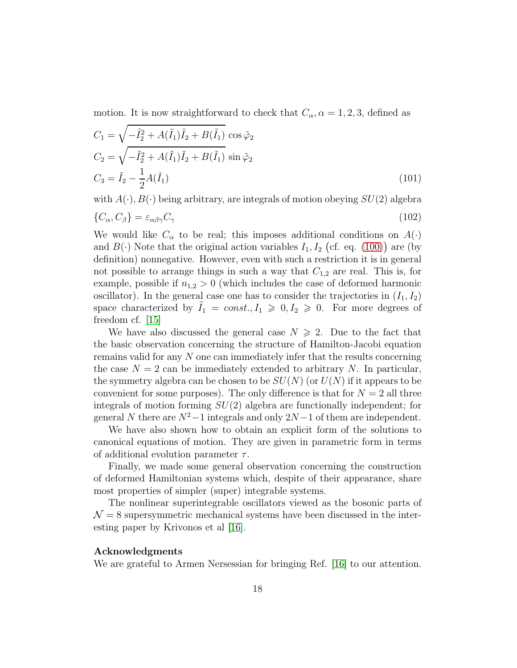motion. It is now straightforward to check that  $C_{\alpha}$ ,  $\alpha = 1, 2, 3$ , defined as

$$
C_1 = \sqrt{-\tilde{I}_2^2 + A(\tilde{I}_1)\tilde{I}_2 + B(\tilde{I}_1)} \cos \tilde{\varphi}_2
$$
  
\n
$$
C_2 = \sqrt{-\tilde{I}_2^2 + A(\tilde{I}_1)\tilde{I}_2 + B(\tilde{I}_1)} \sin \tilde{\varphi}_2
$$
  
\n
$$
C_3 = \tilde{I}_2 - \frac{1}{2}A(\tilde{I}_1)
$$
\n(101)

with  $A(\cdot), B(\cdot)$  being arbitrary, are integrals of motion obeying  $SU(2)$  algebra

$$
\{C_{\alpha}, C_{\beta}\} = \varepsilon_{\alpha\beta\gamma} C_{\gamma} \tag{102}
$$

We would like  $C_{\alpha}$  to be real; this imposes additional conditions on  $A(\cdot)$ and  $B(\cdot)$  Note that the original action variables  $I_1, I_2$  (cf. eq. [\(100\)](#page-16-0)) are (by definition) nonnegative. However, even with such a restriction it is in general not possible to arrange things in such a way that  $C_{1,2}$  are real. This is, for example, possible if  $n_{1,2} > 0$  (which includes the case of deformed harmonic oscillator). In the general case one has to consider the trajectories in  $(I_1, I_2)$ space characterized by  $I_1 = const., I_1 \geqslant 0, I_2 \geqslant 0.$  For more degrees of freedom cf. [\[15\]](#page-19-4)

We have also discussed the general case  $N \ge 2$ . Due to the fact that the basic observation concerning the structure of Hamilton-Jacobi equation remains valid for any N one can immediately infer that the results concerning the case  $N = 2$  can be immediately extended to arbitrary N. In particular, the symmetry algebra can be chosen to be  $SU(N)$  (or  $U(N)$ ) if it appears to be convenient for some purposes). The only difference is that for  $N = 2$  all three integrals of motion forming  $SU(2)$  algebra are functionally independent; for general N there are  $N^2-1$  integrals and only  $2N-1$  of them are independent.

We have also shown how to obtain an explicit form of the solutions to canonical equations of motion. They are given in parametric form in terms of additional evolution parameter  $\tau$ .

Finally, we made some general observation concerning the construction of deformed Hamiltonian systems which, despite of their appearance, share most properties of simpler (super) integrable systems.

The nonlinear superintegrable oscillators viewed as the bosonic parts of  $\mathcal{N}=8$  supersymmetric mechanical systems have been discussed in the interesting paper by Krivonos et al [\[16\]](#page-19-5).

#### Acknowledgments

We are grateful to Armen Nersessian for bringing Ref. [\[16\]](#page-19-5) to our attention.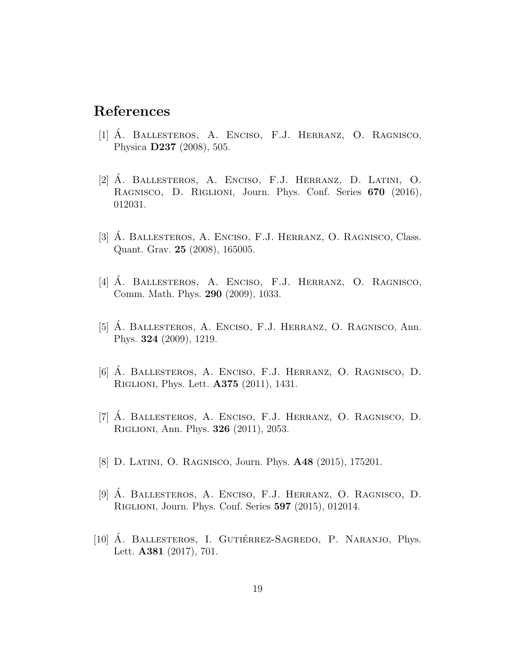### <span id="page-18-0"></span>References

- $[1]$  A. Ballesteros, A. Enciso, F.J. Herranz, O. Ragnisco, Physica D237 (2008), 505.
- <span id="page-18-1"></span>[2] A. Ballesteros, A. Enciso, F.J. Herranz, D. Latini, O. ´ Ragnisco, D. Riglioni, Journ. Phys. Conf. Series 670 (2016), 012031.
- <span id="page-18-2"></span>[3] A. BALLESTEROS, A. ENCISO, F.J. HERRANZ, O. RAGNISCO, Class. Quant. Grav. 25 (2008), 165005.
- [4] Á. BALLESTEROS, A. ENCISO, F.J. HERRANZ, O. RAGNISCO, Comm. Math. Phys. 290 (2009), 1033.
- [5] A. BALLESTEROS, A. ENCISO, F.J. HERRANZ, O. RAGNISCO, Ann. Phys. 324 (2009), 1219.
- [6] A. Ballesteros, A. Enciso, F.J. Herranz, O. Ragnisco, D. ´ Riglioni, Phys. Lett. A375 (2011), 1431.
- [7] A. Ballesteros, A. Enciso, F.J. Herranz, O. Ragnisco, D. ´ Riglioni, Ann. Phys. 326 (2011), 2053.
- <span id="page-18-4"></span>[8] D. LATINI, O. RAGNISCO, Journ. Phys. **A48** (2015), 175201.
- [9] A. Ballesteros, A. Enciso, F.J. Herranz, O. Ragnisco, D. ´ Riglioni, Journ. Phys. Conf. Series 597 (2015), 012014.
- <span id="page-18-3"></span>[10] A. BALLESTEROS, I. GUTIÉRREZ-SAGREDO, P. NARANJO, Phys. Lett. A381 (2017), 701.